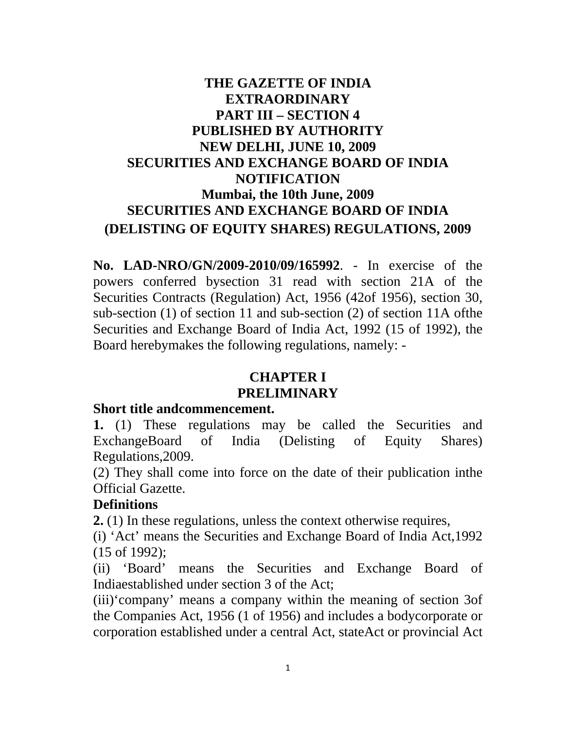## **THE GAZETTE OF INDIA EXTRAORDINARY PART III – SECTION 4 PUBLISHED BY AUTHORITY NEW DELHI, JUNE 10, 2009 SECURITIES AND EXCHANGE BOARD OF INDIA NOTIFICATION Mumbai, the 10th June, 2009 SECURITIES AND EXCHANGE BOARD OF INDIA (DELISTING OF EQUITY SHARES) REGULATIONS, 2009**

**No. LAD-NRO/GN/2009-2010/09/165992**. - In exercise of the powers conferred bysection 31 read with section 21A of the Securities Contracts (Regulation) Act, 1956 (42of 1956), section 30, sub-section (1) of section 11 and sub-section (2) of section 11A ofthe Securities and Exchange Board of India Act, 1992 (15 of 1992), the Board herebymakes the following regulations, namely: -

# **CHAPTER I**

#### **PRELIMINARY**

#### **Short title andcommencement.**

**1.** (1) These regulations may be called the Securities and ExchangeBoard of India (Delisting of Equity Shares) Regulations,2009.

(2) They shall come into force on the date of their publication inthe Official Gazette.

#### **Definitions**

**2.** (1) In these regulations, unless the context otherwise requires,

(i) 'Act' means the Securities and Exchange Board of India Act,1992 (15 of 1992);

(ii) 'Board' means the Securities and Exchange Board of Indiaestablished under section 3 of the Act;

(iii)'company' means a company within the meaning of section 3of the Companies Act, 1956 (1 of 1956) and includes a bodycorporate or corporation established under a central Act, stateAct or provincial Act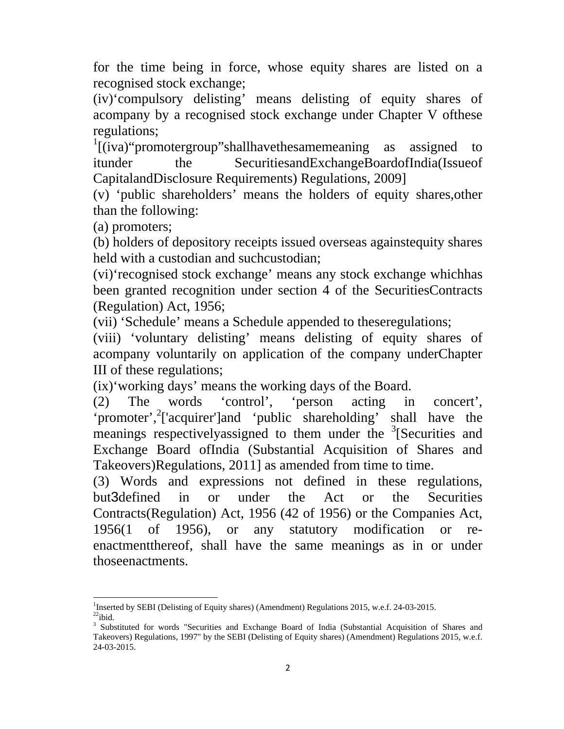for the time being in force, whose equity shares are listed on a recognised stock exchange;

(iv)'compulsory delisting' means delisting of equity shares of acompany by a recognised stock exchange under Chapter V ofthese regulations;

<sup>1</sup>[(iva)"promotergroup"shallhavethesamemeaning as assigned to itunder the SecuritiesandExchangeBoardofIndia(Issueof CapitalandDisclosure Requirements) Regulations, 2009]

(v) 'public shareholders' means the holders of equity shares,other than the following:

(a) promoters;

(b) holders of depository receipts issued overseas againstequity shares held with a custodian and suchcustodian;

(vi)'recognised stock exchange' means any stock exchange whichhas been granted recognition under section 4 of the SecuritiesContracts (Regulation) Act, 1956;

(vii) 'Schedule' means a Schedule appended to theseregulations;

(viii) 'voluntary delisting' means delisting of equity shares of acompany voluntarily on application of the company underChapter III of these regulations;

(ix)'working days' means the working days of the Board.

(2) The words 'control', 'person acting in concert', 'promoter',<sup>2</sup>['acquirer']and 'public shareholding' shall have the meanings respectivelyassigned to them under the <sup>3</sup>[Securities and Exchange Board ofIndia (Substantial Acquisition of Shares and Takeovers)Regulations, 2011] as amended from time to time.

(3) Words and expressions not defined in these regulations, but3defined in or under the Act or the Securities Contracts(Regulation) Act, 1956 (42 of 1956) or the Companies Act, 1956(1 of 1956), or any statutory modification or reenactmentthereof, shall have the same meanings as in or under thoseenactments.

 <sup>1</sup>Inserted by SEBI (Delisting of Equity shares) (Amendment) Regulations 2015, w.e.f. 24-03-2015.

 $22$ ibid.

<sup>&</sup>lt;sup>3</sup> Substituted for words "Securities and Exchange Board of India (Substantial Acquisition of Shares and Takeovers) Regulations, 1997" by the SEBI (Delisting of Equity shares) (Amendment) Regulations 2015, w.e.f. 24-03-2015.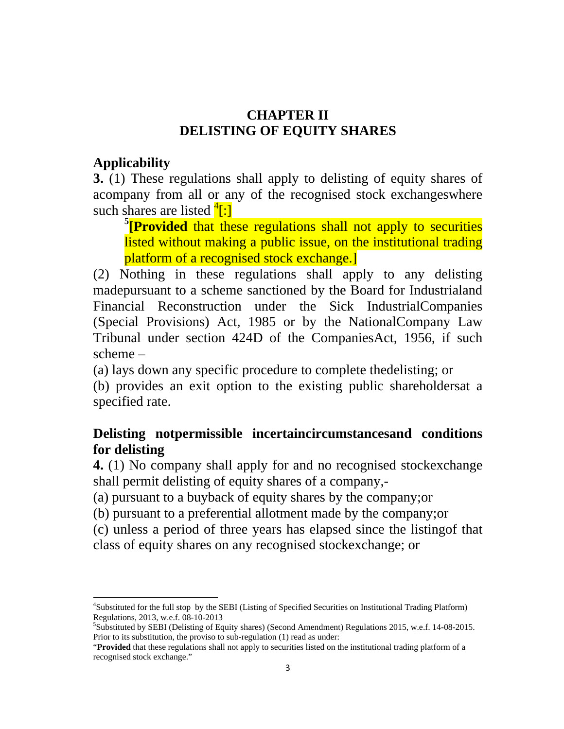#### **CHAPTER II DELISTING OF EQUITY SHARES**

#### **Applicability**

**3.** (1) These regulations shall apply to delisting of equity shares of acompany from all or any of the recognised stock exchangeswhere such shares are listed  $\frac{4}{3}$ .

**5 [Provided** that these regulations shall not apply to securities listed without making a public issue, on the institutional trading platform of a recognised stock exchange.]

(2) Nothing in these regulations shall apply to any delisting madepursuant to a scheme sanctioned by the Board for Industrialand Financial Reconstruction under the Sick IndustrialCompanies (Special Provisions) Act, 1985 or by the NationalCompany Law Tribunal under section 424D of the CompaniesAct, 1956, if such scheme –

(a) lays down any specific procedure to complete thedelisting; or

(b) provides an exit option to the existing public shareholdersat a specified rate.

## **Delisting notpermissible incertaincircumstancesand conditions for delisting**

**4.** (1) No company shall apply for and no recognised stockexchange shall permit delisting of equity shares of a company,-

(a) pursuant to a buyback of equity shares by the company;or

(b) pursuant to a preferential allotment made by the company;or

(c) unless a period of three years has elapsed since the listingof that class of equity shares on any recognised stockexchange; or

<sup>&</sup>lt;sup>4</sup>Substituted for the full stop by the SEBI (Listing of Specified Securities on Institutional Trading Platform) Regulations, 2013, w.e.f. 08-10-2013

<sup>5</sup> Substituted by SEBI (Delisting of Equity shares) (Second Amendment) Regulations 2015, w.e.f. 14-08-2015. Prior to its substitution, the proviso to sub-regulation (1) read as under:

<sup>&</sup>quot;**Provided** that these regulations shall not apply to securities listed on the institutional trading platform of a recognised stock exchange."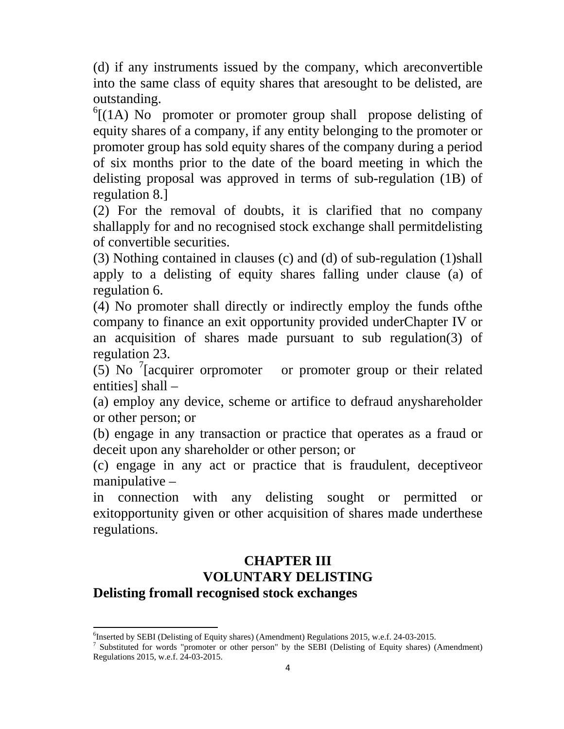(d) if any instruments issued by the company, which areconvertible into the same class of equity shares that aresought to be delisted, are outstanding.

 $^{6}$ [(1A) No promoter or promoter group shall propose delisting of equity shares of a company, if any entity belonging to the promoter or promoter group has sold equity shares of the company during a period of six months prior to the date of the board meeting in which the delisting proposal was approved in terms of sub-regulation (1B) of regulation 8.]

(2) For the removal of doubts, it is clarified that no company shallapply for and no recognised stock exchange shall permitdelisting of convertible securities.

(3) Nothing contained in clauses (c) and (d) of sub-regulation (1)shall apply to a delisting of equity shares falling under clause (a) of regulation 6.

(4) No promoter shall directly or indirectly employ the funds ofthe company to finance an exit opportunity provided underChapter IV or an acquisition of shares made pursuant to sub regulation(3) of regulation 23.

 $(5)$  No <sup>7</sup>[acquirer orpromoter or promoter group or their related entities] shall –

(a) employ any device, scheme or artifice to defraud anyshareholder or other person; or

(b) engage in any transaction or practice that operates as a fraud or deceit upon any shareholder or other person; or

(c) engage in any act or practice that is fraudulent, deceptiveor manipulative –

in connection with any delisting sought or permitted or exitopportunity given or other acquisition of shares made underthese regulations.

#### **CHAPTER III VOLUNTARY DELISTING Delisting fromall recognised stock exchanges**

 6 Inserted by SEBI (Delisting of Equity shares) (Amendment) Regulations 2015, w.e.f. 24-03-2015.

<sup>7</sup> Substituted for words "promoter or other person" by the SEBI (Delisting of Equity shares) (Amendment) Regulations 2015, w.e.f. 24-03-2015.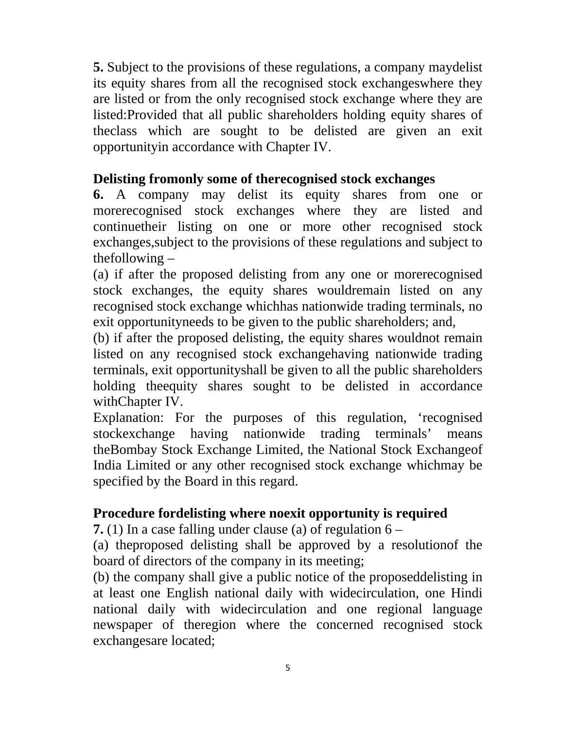**5.** Subject to the provisions of these regulations, a company maydelist its equity shares from all the recognised stock exchangeswhere they are listed or from the only recognised stock exchange where they are listed:Provided that all public shareholders holding equity shares of theclass which are sought to be delisted are given an exit opportunityin accordance with Chapter IV.

#### **Delisting fromonly some of therecognised stock exchanges**

**6.** A company may delist its equity shares from one or morerecognised stock exchanges where they are listed and continuetheir listing on one or more other recognised stock exchanges,subject to the provisions of these regulations and subject to thefollowing  $-$ 

(a) if after the proposed delisting from any one or morerecognised stock exchanges, the equity shares wouldremain listed on any recognised stock exchange whichhas nationwide trading terminals, no exit opportunityneeds to be given to the public shareholders; and,

(b) if after the proposed delisting, the equity shares wouldnot remain listed on any recognised stock exchangehaving nationwide trading terminals, exit opportunityshall be given to all the public shareholders holding theequity shares sought to be delisted in accordance withChapter IV.

Explanation: For the purposes of this regulation, 'recognised stockexchange having nationwide trading terminals' means theBombay Stock Exchange Limited, the National Stock Exchangeof India Limited or any other recognised stock exchange whichmay be specified by the Board in this regard.

#### **Procedure fordelisting where noexit opportunity is required**

**7.** (1) In a case falling under clause (a) of regulation 6 –

(a) theproposed delisting shall be approved by a resolutionof the board of directors of the company in its meeting;

(b) the company shall give a public notice of the proposeddelisting in at least one English national daily with widecirculation, one Hindi national daily with widecirculation and one regional language newspaper of theregion where the concerned recognised stock exchangesare located;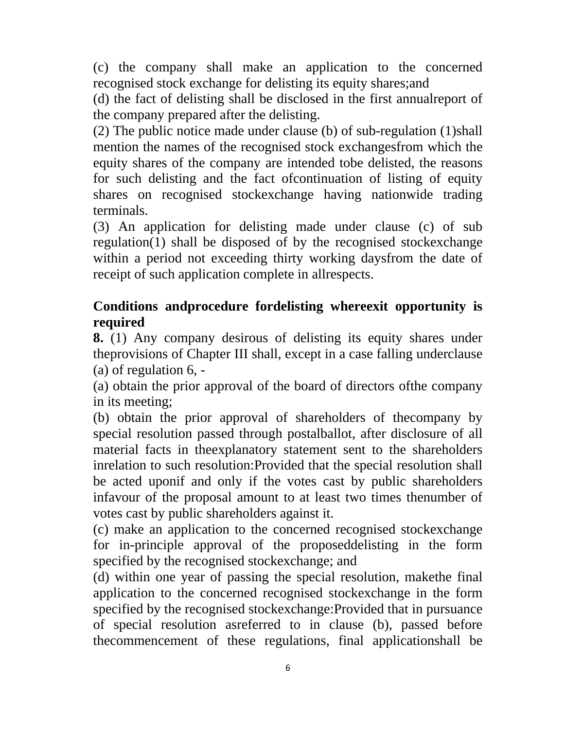(c) the company shall make an application to the concerned recognised stock exchange for delisting its equity shares;and

(d) the fact of delisting shall be disclosed in the first annualreport of the company prepared after the delisting.

(2) The public notice made under clause (b) of sub-regulation (1)shall mention the names of the recognised stock exchangesfrom which the equity shares of the company are intended tobe delisted, the reasons for such delisting and the fact ofcontinuation of listing of equity shares on recognised stockexchange having nationwide trading terminals.

(3) An application for delisting made under clause (c) of sub regulation(1) shall be disposed of by the recognised stockexchange within a period not exceeding thirty working daysfrom the date of receipt of such application complete in allrespects.

#### **Conditions andprocedure fordelisting whereexit opportunity is required**

**8.** (1) Any company desirous of delisting its equity shares under theprovisions of Chapter III shall, except in a case falling underclause (a) of regulation 6, -

(a) obtain the prior approval of the board of directors ofthe company in its meeting;

(b) obtain the prior approval of shareholders of thecompany by special resolution passed through postalballot, after disclosure of all material facts in theexplanatory statement sent to the shareholders inrelation to such resolution:Provided that the special resolution shall be acted uponif and only if the votes cast by public shareholders infavour of the proposal amount to at least two times thenumber of votes cast by public shareholders against it.

(c) make an application to the concerned recognised stockexchange for in-principle approval of the proposeddelisting in the form specified by the recognised stockexchange; and

(d) within one year of passing the special resolution, makethe final application to the concerned recognised stockexchange in the form specified by the recognised stockexchange:Provided that in pursuance of special resolution asreferred to in clause (b), passed before thecommencement of these regulations, final applicationshall be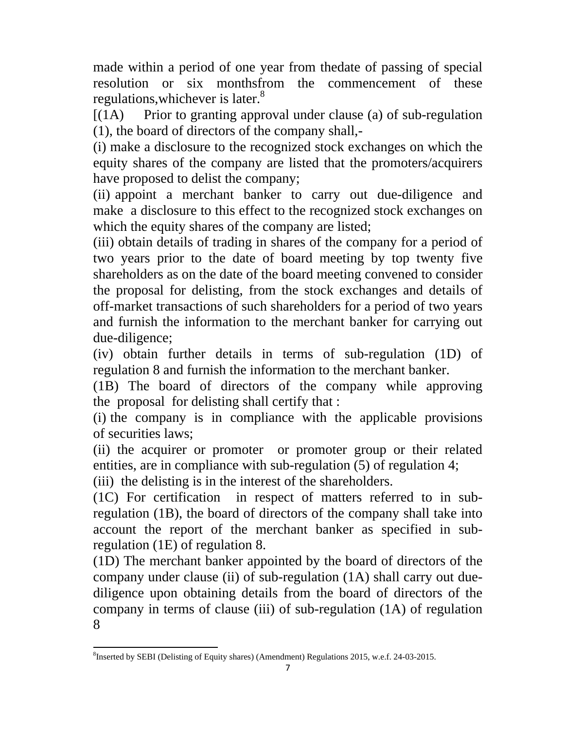made within a period of one year from thedate of passing of special resolution or six monthsfrom the commencement of these regulations, whichever is later.<sup>8</sup>

 $[(1A)$  Prior to granting approval under clause (a) of sub-regulation (1), the board of directors of the company shall,-

(i) make a disclosure to the recognized stock exchanges on which the equity shares of the company are listed that the promoters/acquirers have proposed to delist the company;

(ii) appoint a merchant banker to carry out due-diligence and make a disclosure to this effect to the recognized stock exchanges on which the equity shares of the company are listed;

(iii) obtain details of trading in shares of the company for a period of two years prior to the date of board meeting by top twenty five shareholders as on the date of the board meeting convened to consider the proposal for delisting, from the stock exchanges and details of off-market transactions of such shareholders for a period of two years and furnish the information to the merchant banker for carrying out due-diligence;

(iv) obtain further details in terms of sub-regulation (1D) of regulation 8 and furnish the information to the merchant banker.

(1B) The board of directors of the company while approving the proposal for delisting shall certify that :

(i) the company is in compliance with the applicable provisions of securities laws;

(ii) the acquirer or promoter or promoter group or their related entities, are in compliance with sub-regulation (5) of regulation 4;

(iii) the delisting is in the interest of the shareholders.

(1C) For certification in respect of matters referred to in subregulation (1B), the board of directors of the company shall take into account the report of the merchant banker as specified in subregulation (1E) of regulation 8.

(1D) The merchant banker appointed by the board of directors of the company under clause (ii) of sub-regulation (1A) shall carry out duediligence upon obtaining details from the board of directors of the company in terms of clause (iii) of sub-regulation (1A) of regulation 8

 8 Inserted by SEBI (Delisting of Equity shares) (Amendment) Regulations 2015, w.e.f. 24-03-2015.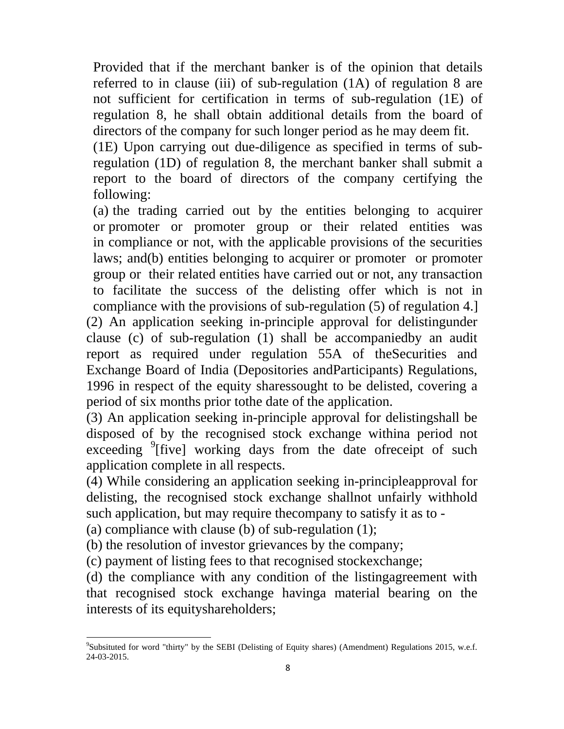Provided that if the merchant banker is of the opinion that details referred to in clause (iii) of sub-regulation (1A) of regulation 8 are not sufficient for certification in terms of sub-regulation (1E) of regulation 8, he shall obtain additional details from the board of directors of the company for such longer period as he may deem fit.

(1E) Upon carrying out due-diligence as specified in terms of subregulation (1D) of regulation 8, the merchant banker shall submit a report to the board of directors of the company certifying the following:

(a) the trading carried out by the entities belonging to acquirer or promoter or promoter group or their related entities was in compliance or not, with the applicable provisions of the securities laws; and(b) entities belonging to acquirer or promoter or promoter group or their related entities have carried out or not, any transaction to facilitate the success of the delisting offer which is not in compliance with the provisions of sub-regulation (5) of regulation 4.] (2) An application seeking in-principle approval for delistingunder clause (c) of sub-regulation (1) shall be accompaniedby an audit report as required under regulation 55A of theSecurities and Exchange Board of India (Depositories andParticipants) Regulations, 1996 in respect of the equity sharessought to be delisted, covering a period of six months prior tothe date of the application.

(3) An application seeking in-principle approval for delistingshall be disposed of by the recognised stock exchange withina period not exceeding <sup>9</sup>[five] working days from the date ofreceipt of such application complete in all respects.

(4) While considering an application seeking in-principleapproval for delisting, the recognised stock exchange shallnot unfairly withhold such application, but may require thecompany to satisfy it as to -

(a) compliance with clause (b) of sub-regulation (1);

(b) the resolution of investor grievances by the company;

(c) payment of listing fees to that recognised stockexchange;

(d) the compliance with any condition of the listingagreement with that recognised stock exchange havinga material bearing on the interests of its equityshareholders;

<sup>&</sup>lt;sup>9</sup>Subsituted for word "thirty" by the SEBI (Delisting of Equity shares) (Amendment) Regulations 2015, w.e.f. 24-03-2015.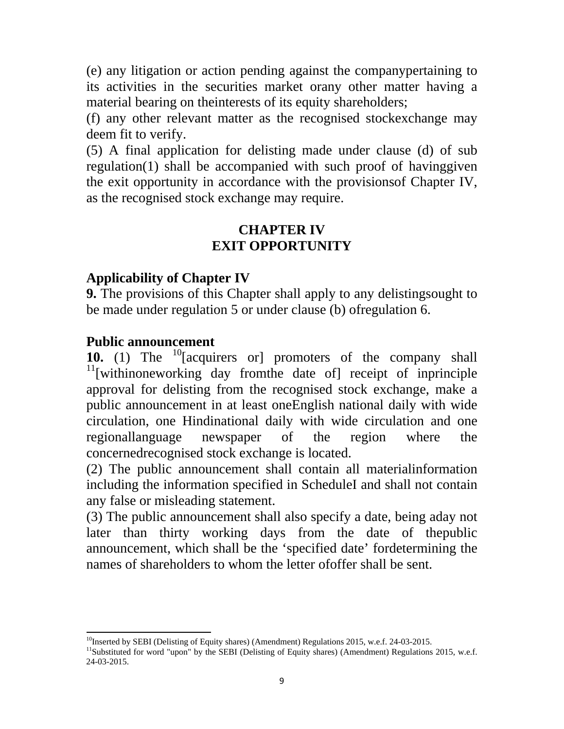(e) any litigation or action pending against the companypertaining to its activities in the securities market orany other matter having a material bearing on theinterests of its equity shareholders;

(f) any other relevant matter as the recognised stockexchange may deem fit to verify.

(5) A final application for delisting made under clause (d) of sub regulation(1) shall be accompanied with such proof of havinggiven the exit opportunity in accordance with the provisionsof Chapter IV, as the recognised stock exchange may require.

#### **CHAPTER IV EXIT OPPORTUNITY**

#### **Applicability of Chapter IV**

**9.** The provisions of this Chapter shall apply to any delisting sought to be made under regulation 5 or under clause (b) ofregulation 6.

#### **Public announcement**

10. (1) The <sup>10</sup>[acquirers or] promoters of the company shall  $11$ [withinoneworking day from the date of] receipt of inprinciple approval for delisting from the recognised stock exchange, make a public announcement in at least oneEnglish national daily with wide circulation, one Hindinational daily with wide circulation and one regionallanguage newspaper of the region where the concernedrecognised stock exchange is located.

(2) The public announcement shall contain all materialinformation including the information specified in ScheduleI and shall not contain any false or misleading statement.

(3) The public announcement shall also specify a date, being aday not later than thirty working days from the date of thepublic announcement, which shall be the 'specified date' fordetermining the names of shareholders to whom the letter ofoffer shall be sent.

 <sup>10</sup>Inserted by SEBI (Delisting of Equity shares) (Amendment) Regulations 2015, w.e.f. 24-03-2015.

<sup>&</sup>lt;sup>11</sup>Substituted for word "upon" by the SEBI (Delisting of Equity shares) (Amendment) Regulations 2015, w.e.f. 24-03-2015.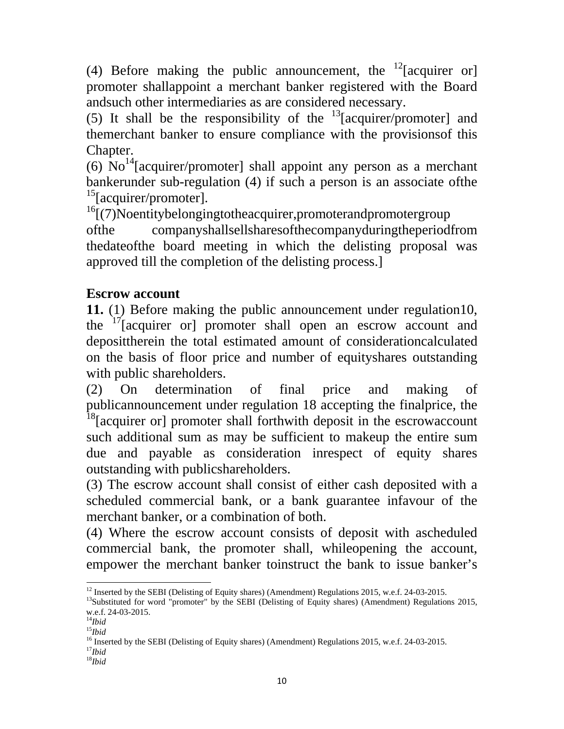(4) Before making the public announcement, the <sup>12</sup>[acquirer or] promoter shallappoint a merchant banker registered with the Board andsuch other intermediaries as are considered necessary.

(5) It shall be the responsibility of the  $13$ [acquirer/promoter] and themerchant banker to ensure compliance with the provisionsof this Chapter.

(6)  $\text{No}^{14}$ [acquirer/promoter] shall appoint any person as a merchant bankerunder sub-regulation (4) if such a person is an associate ofthe  $15$ [acquirer/promoter].

 $16$ [(7)Noentitybelongingtotheacquirer,promoterandpromotergroup ofthe companyshallsellsharesofthecompanyduringtheperiodfrom thedateofthe board meeting in which the delisting proposal was approved till the completion of the delisting process.]

#### **Escrow account**

**11.** (1) Before making the public announcement under regulation10, the <sup>17</sup>[acquirer or] promoter shall open an escrow account and deposittherein the total estimated amount of considerationcalculated on the basis of floor price and number of equityshares outstanding with public shareholders.

(2) On determination of final price and making of publicannouncement under regulation 18 accepting the finalprice, the <sup>18</sup>[acquirer or] promoter shall forthwith deposit in the escrowaccount such additional sum as may be sufficient to makeup the entire sum due and payable as consideration inrespect of equity shares outstanding with publicshareholders.

(3) The escrow account shall consist of either cash deposited with a scheduled commercial bank, or a bank guarantee infavour of the merchant banker, or a combination of both.

(4) Where the escrow account consists of deposit with ascheduled commercial bank, the promoter shall, whileopening the account, empower the merchant banker toinstruct the bank to issue banker's

 <sup>12</sup> Inserted by the SEBI (Delisting of Equity shares) (Amendment) Regulations 2015, w.e.f. 24-03-2015.

 $13$ Substituted for word "promoter" by the SEBI (Delisting of Equity shares) (Amendment) Regulations 2015, w.e.f. 24-03-2015.

<sup>14</sup>*Ibid*

<sup>15</sup>*Ibid*

<sup>&</sup>lt;sup>16</sup> Inserted by the SEBI (Delisting of Equity shares) (Amendment) Regulations 2015, w.e.f. 24-03-2015.  $17$ *Ibid* 

<sup>18</sup>*Ibid*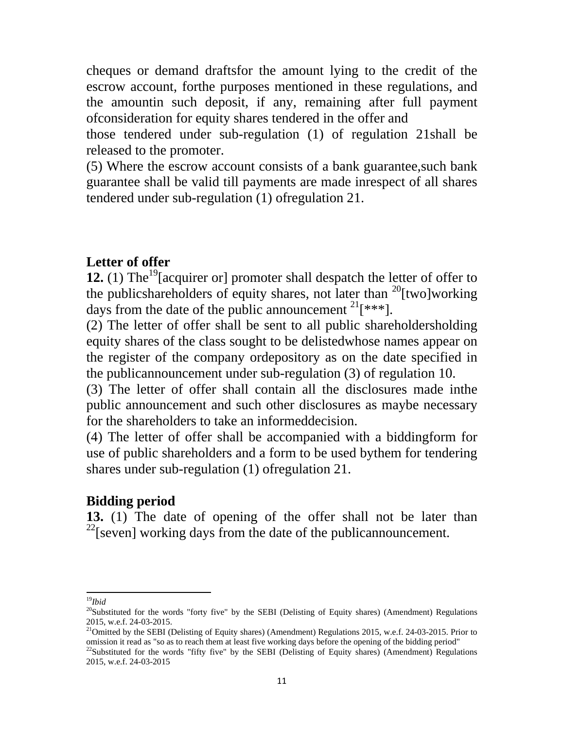cheques or demand draftsfor the amount lying to the credit of the escrow account, forthe purposes mentioned in these regulations, and the amountin such deposit, if any, remaining after full payment ofconsideration for equity shares tendered in the offer and

those tendered under sub-regulation (1) of regulation 21shall be released to the promoter.

(5) Where the escrow account consists of a bank guarantee,such bank guarantee shall be valid till payments are made inrespect of all shares tendered under sub-regulation (1) ofregulation 21.

#### **Letter of offer**

**12.** (1) The<sup>19</sup>[acquirer or] promoter shall despatch the letter of offer to the publicshareholders of equity shares, not later than  $^{20}$ [two]working days from the date of the public announcement  $2^{1}$ [\*\*\*].

(2) The letter of offer shall be sent to all public shareholdersholding equity shares of the class sought to be delistedwhose names appear on the register of the company ordepository as on the date specified in the publicannouncement under sub-regulation (3) of regulation 10.

(3) The letter of offer shall contain all the disclosures made inthe public announcement and such other disclosures as maybe necessary for the shareholders to take an informeddecision.

(4) The letter of offer shall be accompanied with a biddingform for use of public shareholders and a form to be used bythem for tendering shares under sub-regulation (1) ofregulation 21.

#### **Bidding period**

**13.** (1) The date of opening of the offer shall not be later than  $2^{22}$ [seven] working days from the date of the publicannouncement.

 <sup>19</sup>*Ibid*

<sup>&</sup>lt;sup>20</sup>Substituted for the words "forty five" by the SEBI (Delisting of Equity shares) (Amendment) Regulations 2015, w.e.f. 24-03-2015.

<sup>&</sup>lt;sup>21</sup>Omitted by the SEBI (Delisting of Equity shares) (Amendment) Regulations 2015, w.e.f. 24-03-2015. Prior to omission it read as "so as to reach them at least five working days before the opening of the bidding period"  $^{22}$ Substituted for the words "fifty five" by the SEBI (Delisting of Equity shares) (Amendment) Regulations

<sup>2015,</sup> w.e.f. 24-03-2015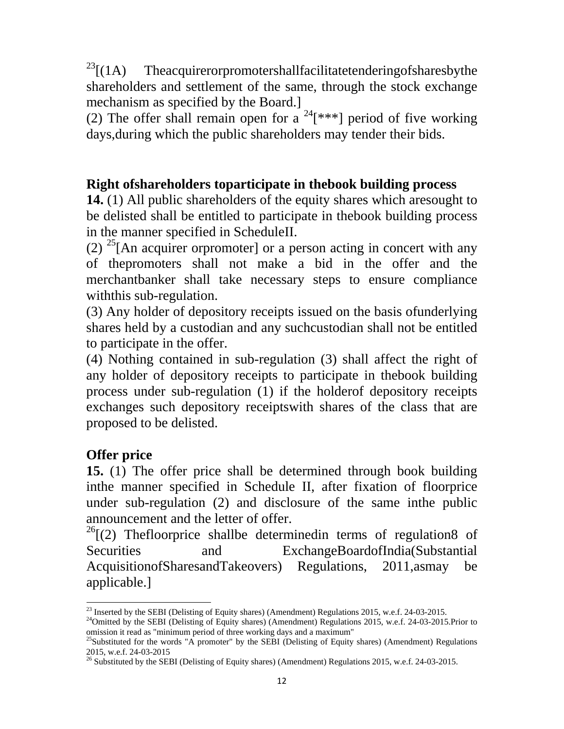$^{23}$ [(1A) Theacquirerorpromotershallfacilitatetenderingofsharesbythe shareholders and settlement of the same, through the stock exchange mechanism as specified by the Board.]

(2) The offer shall remain open for a  $24$ [\*\*\*] period of five working days,during which the public shareholders may tender their bids.

#### **Right ofshareholders toparticipate in thebook building process**

**14.** (1) All public shareholders of the equity shares which aresought to be delisted shall be entitled to participate in thebook building process in the manner specified in ScheduleII.

(2) <sup>25</sup>[An acquirer orpromoter] or a person acting in concert with any of thepromoters shall not make a bid in the offer and the merchantbanker shall take necessary steps to ensure compliance withthis sub-regulation.

(3) Any holder of depository receipts issued on the basis ofunderlying shares held by a custodian and any suchcustodian shall not be entitled to participate in the offer.

(4) Nothing contained in sub-regulation (3) shall affect the right of any holder of depository receipts to participate in thebook building process under sub-regulation (1) if the holderof depository receipts exchanges such depository receiptswith shares of the class that are proposed to be delisted.

## **Offer price**

**15.** (1) The offer price shall be determined through book building inthe manner specified in Schedule II, after fixation of floorprice under sub-regulation (2) and disclosure of the same inthe public announcement and the letter of offer.

 $^{26}$ [(2) Thefloorprice shallbe determinedin terms of regulation8 of Securities and ExchangeBoardofIndia(Substantial AcquisitionofSharesandTakeovers) Regulations, 2011,asmay be applicable.]

 <sup>23</sup> Inserted by the SEBI (Delisting of Equity shares) (Amendment) Regulations 2015, w.e.f. 24-03-2015.

 $^{24}$ Omitted by the SEBI (Delisting of Equity shares) (Amendment) Regulations 2015, w.e.f. 24-03-2015.Prior to omission it read as "minimum period of three working days and a maximum"

 $^{25}$ Substituted for the words "A promoter" by the SEBI (Delisting of Equity shares) (Amendment) Regulations 2015, w.e.f. 24-03-2015

<sup>&</sup>lt;sup>26</sup> Substituted by the SEBI (Delisting of Equity shares) (Amendment) Regulations 2015, w.e.f. 24-03-2015.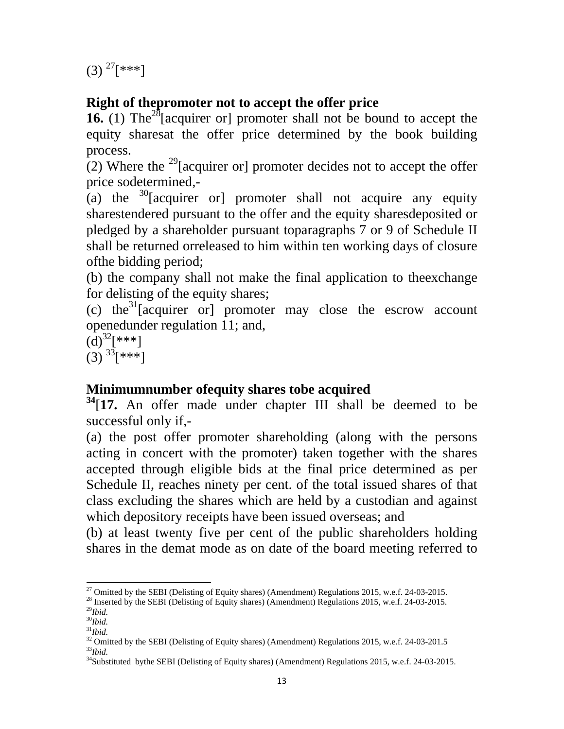$(3)$ <sup>27</sup>[\*\*\*]

## **Right of thepromoter not to accept the offer price**

**16.** (1) The<sup>28</sup>[acquirer or] promoter shall not be bound to accept the equity sharesat the offer price determined by the book building process.

(2) Where the <sup>29</sup>[acquirer or] promoter decides not to accept the offer price sodetermined,-

(a) the  $30^{\circ}$ [acquirer or] promoter shall not acquire any equity sharestendered pursuant to the offer and the equity sharesdeposited or pledged by a shareholder pursuant toparagraphs 7 or 9 of Schedule II shall be returned orreleased to him within ten working days of closure ofthe bidding period;

(b) the company shall not make the final application to theexchange for delisting of the equity shares;

(c) the<sup>31</sup>[acquirer or] promoter may close the escrow account openedunder regulation 11; and,

 $(d)^{32}$ [\*\*\*]  $(3)$   $33$ [\*\*\*]

## **Minimumnumber ofequity shares tobe acquired**

**<sup>34</sup>**[**17.** An offer made under chapter III shall be deemed to be successful only if,-

(a) the post offer promoter shareholding (along with the persons acting in concert with the promoter) taken together with the shares accepted through eligible bids at the final price determined as per Schedule II, reaches ninety per cent. of the total issued shares of that class excluding the shares which are held by a custodian and against which depository receipts have been issued overseas; and

(b) at least twenty five per cent of the public shareholders holding shares in the demat mode as on date of the board meeting referred to

 <sup>27</sup> Omitted by the SEBI (Delisting of Equity shares) (Amendment) Regulations 2015, w.e.f. 24-03-2015.<br><sup>28</sup> Inserted by the SEBI (Delisting of Equity shares) (Amendment) Regulations 2015, w.e.f. 24-03-2015.

<sup>29</sup>*Ibid.*

<sup>30</sup>*Ibid.* <sup>31</sup>*Ibid.*

<sup>&</sup>lt;sup>32</sup> Omitted by the SEBI (Delisting of Equity shares) (Amendment) Regulations 2015, w.e.f. 24-03-201.5 <sup>33</sup>*Ibid.* 

<sup>&</sup>lt;sup>34</sup>Substituted bythe SEBI (Delisting of Equity shares) (Amendment) Regulations 2015, w.e.f. 24-03-2015.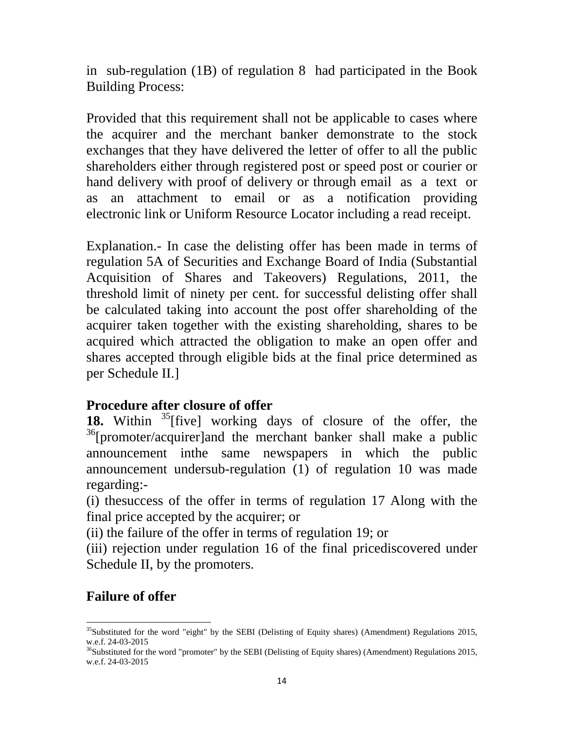in sub-regulation (1B) of regulation 8 had participated in the Book Building Process:

Provided that this requirement shall not be applicable to cases where the acquirer and the merchant banker demonstrate to the stock exchanges that they have delivered the letter of offer to all the public shareholders either through registered post or speed post or courier or hand delivery with proof of delivery or through email as a text or as an attachment to email or as a notification providing electronic link or Uniform Resource Locator including a read receipt.

Explanation.- In case the delisting offer has been made in terms of regulation 5A of Securities and Exchange Board of India (Substantial Acquisition of Shares and Takeovers) Regulations, 2011, the threshold limit of ninety per cent. for successful delisting offer shall be calculated taking into account the post offer shareholding of the acquirer taken together with the existing shareholding, shares to be acquired which attracted the obligation to make an open offer and shares accepted through eligible bids at the final price determined as per Schedule II.]

#### **Procedure after closure of offer**

**18.** Within <sup>35</sup>[five] working days of closure of the offer, the <sup>36</sup>[promoter/acquirer]and the merchant banker shall make a public announcement inthe same newspapers in which the public announcement undersub-regulation (1) of regulation 10 was made regarding:-

(i) thesuccess of the offer in terms of regulation 17 Along with the final price accepted by the acquirer; or

(ii) the failure of the offer in terms of regulation 19; or

(iii) rejection under regulation 16 of the final pricediscovered under Schedule II, by the promoters.

#### **Failure of offer**

 <sup>35</sup>Substituted for the word "eight" by the SEBI (Delisting of Equity shares) (Amendment) Regulations 2015, w.e.f. 24-03-2015

 $36$ Substituted for the word "promoter" by the SEBI (Delisting of Equity shares) (Amendment) Regulations 2015, w.e.f. 24-03-2015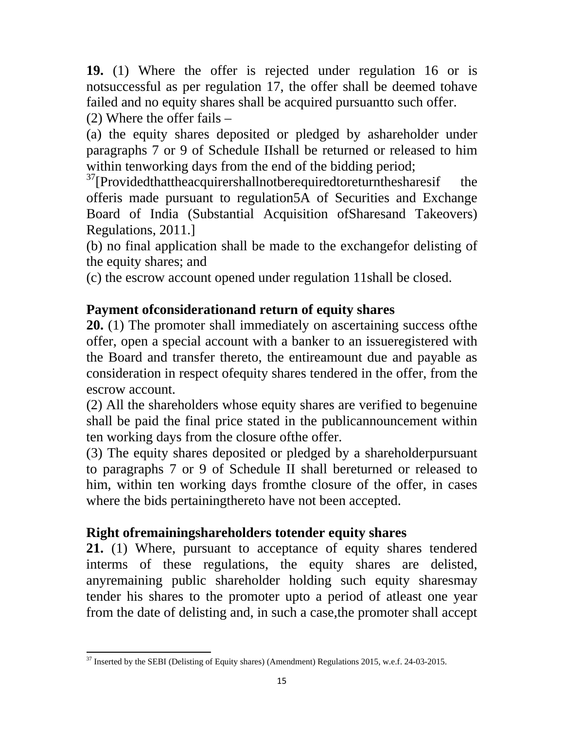**19.** (1) Where the offer is rejected under regulation 16 or is notsuccessful as per regulation 17, the offer shall be deemed tohave failed and no equity shares shall be acquired pursuantto such offer.

(2) Where the offer fails –

(a) the equity shares deposited or pledged by ashareholder under paragraphs 7 or 9 of Schedule IIshall be returned or released to him within tenworking days from the end of the bidding period;

 $37$ [Providedthattheacquirershallnotberequiredtoreturnthesharesif the offeris made pursuant to regulation5A of Securities and Exchange Board of India (Substantial Acquisition ofSharesand Takeovers) Regulations, 2011.]

(b) no final application shall be made to the exchangefor delisting of the equity shares; and

(c) the escrow account opened under regulation 11shall be closed.

#### **Payment ofconsiderationand return of equity shares**

**20.** (1) The promoter shall immediately on ascertaining success ofthe offer, open a special account with a banker to an issueregistered with the Board and transfer thereto, the entireamount due and payable as consideration in respect ofequity shares tendered in the offer, from the escrow account.

(2) All the shareholders whose equity shares are verified to begenuine shall be paid the final price stated in the publicannouncement within ten working days from the closure ofthe offer.

(3) The equity shares deposited or pledged by a shareholderpursuant to paragraphs 7 or 9 of Schedule II shall bereturned or released to him, within ten working days fromthe closure of the offer, in cases where the bids pertainingthereto have not been accepted.

#### **Right ofremainingshareholders totender equity shares**

**21.** (1) Where, pursuant to acceptance of equity shares tendered interms of these regulations, the equity shares are delisted, anyremaining public shareholder holding such equity sharesmay tender his shares to the promoter upto a period of atleast one year from the date of delisting and, in such a case,the promoter shall accept

 <sup>37</sup> Inserted by the SEBI (Delisting of Equity shares) (Amendment) Regulations 2015, w.e.f. 24-03-2015.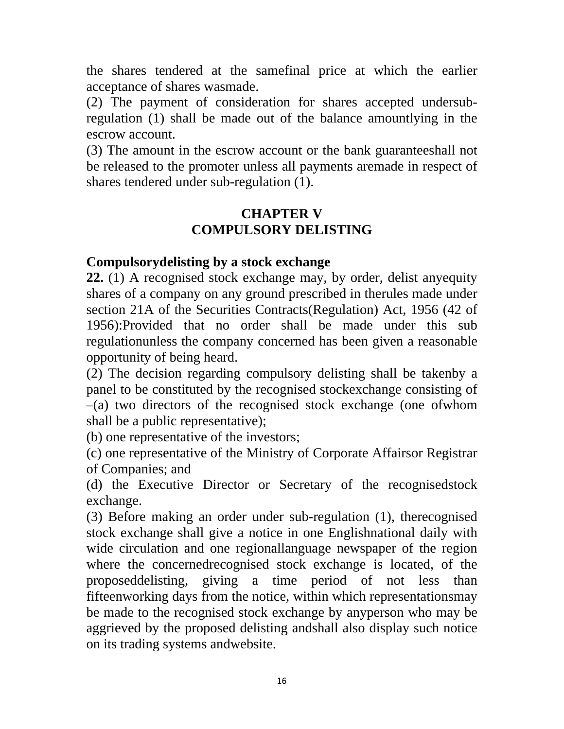the shares tendered at the samefinal price at which the earlier acceptance of shares wasmade.

(2) The payment of consideration for shares accepted undersubregulation (1) shall be made out of the balance amountlying in the escrow account.

(3) The amount in the escrow account or the bank guaranteeshall not be released to the promoter unless all payments aremade in respect of shares tendered under sub-regulation (1).

#### **CHAPTER V COMPULSORY DELISTING**

#### **Compulsorydelisting by a stock exchange**

**22.** (1) A recognised stock exchange may, by order, delist anyequity shares of a company on any ground prescribed in therules made under section 21A of the Securities Contracts(Regulation) Act, 1956 (42 of 1956):Provided that no order shall be made under this sub regulationunless the company concerned has been given a reasonable opportunity of being heard.

(2) The decision regarding compulsory delisting shall be takenby a panel to be constituted by the recognised stockexchange consisting of –(a) two directors of the recognised stock exchange (one ofwhom shall be a public representative);

(b) one representative of the investors;

(c) one representative of the Ministry of Corporate Affairsor Registrar of Companies; and

(d) the Executive Director or Secretary of the recognisedstock exchange.

(3) Before making an order under sub-regulation (1), therecognised stock exchange shall give a notice in one Englishnational daily with wide circulation and one regionallanguage newspaper of the region where the concernedrecognised stock exchange is located, of the proposeddelisting, giving a time period of not less than fifteenworking days from the notice, within which representationsmay be made to the recognised stock exchange by anyperson who may be aggrieved by the proposed delisting andshall also display such notice on its trading systems andwebsite.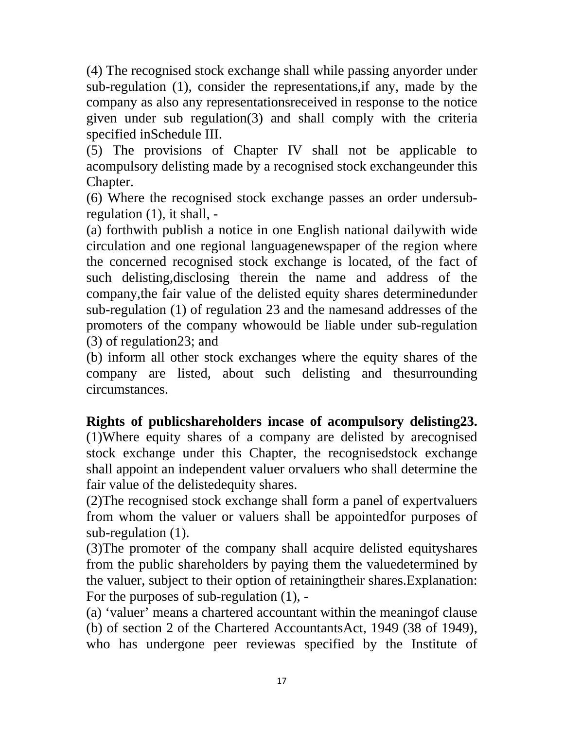(4) The recognised stock exchange shall while passing anyorder under sub-regulation (1), consider the representations,if any, made by the company as also any representationsreceived in response to the notice given under sub regulation(3) and shall comply with the criteria specified inSchedule III.

(5) The provisions of Chapter IV shall not be applicable to acompulsory delisting made by a recognised stock exchangeunder this Chapter.

(6) Where the recognised stock exchange passes an order undersubregulation (1), it shall, -

(a) forthwith publish a notice in one English national dailywith wide circulation and one regional languagenewspaper of the region where the concerned recognised stock exchange is located, of the fact of such delisting,disclosing therein the name and address of the company,the fair value of the delisted equity shares determinedunder sub-regulation (1) of regulation 23 and the namesand addresses of the promoters of the company whowould be liable under sub-regulation (3) of regulation23; and

(b) inform all other stock exchanges where the equity shares of the company are listed, about such delisting and thesurrounding circumstances.

**Rights of publicshareholders incase of acompulsory delisting23.** 

(1)Where equity shares of a company are delisted by arecognised stock exchange under this Chapter, the recognisedstock exchange shall appoint an independent valuer orvaluers who shall determine the fair value of the delistedequity shares.

(2)The recognised stock exchange shall form a panel of expertvaluers from whom the valuer or valuers shall be appointedfor purposes of sub-regulation (1).

(3)The promoter of the company shall acquire delisted equityshares from the public shareholders by paying them the valuedetermined by the valuer, subject to their option of retainingtheir shares.Explanation: For the purposes of sub-regulation (1), -

(a) 'valuer' means a chartered accountant within the meaningof clause (b) of section 2 of the Chartered AccountantsAct, 1949 (38 of 1949), who has undergone peer reviewas specified by the Institute of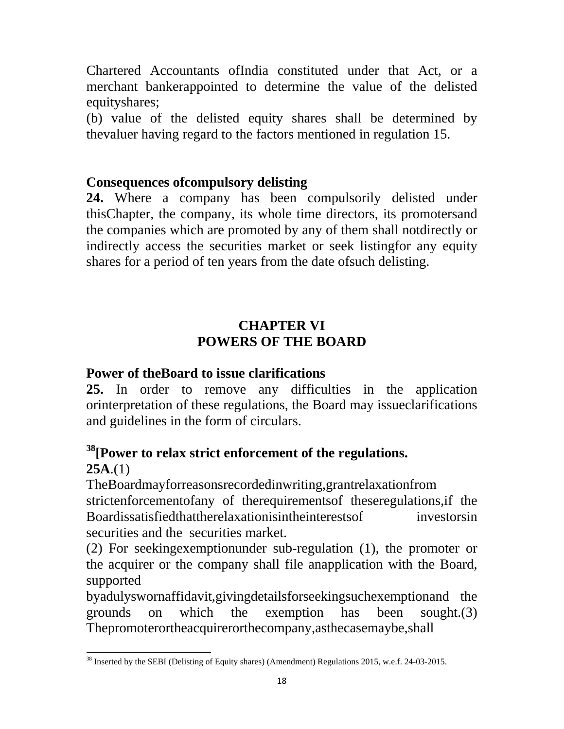Chartered Accountants ofIndia constituted under that Act, or a merchant bankerappointed to determine the value of the delisted equityshares;

(b) value of the delisted equity shares shall be determined by thevaluer having regard to the factors mentioned in regulation 15.

#### **Consequences ofcompulsory delisting**

**24.** Where a company has been compulsorily delisted under thisChapter, the company, its whole time directors, its promotersand the companies which are promoted by any of them shall notdirectly or indirectly access the securities market or seek listingfor any equity shares for a period of ten years from the date ofsuch delisting.

## **CHAPTER VI POWERS OF THE BOARD**

#### **Power of theBoard to issue clarifications**

**25.** In order to remove any difficulties in the application orinterpretation of these regulations, the Board may issueclarifications and guidelines in the form of circulars.

## **38[Power to relax strict enforcement of the regulations. 25A**.(1)

TheBoardmayforreasonsrecordedinwriting,grantrelaxationfrom strictenforcementofany of therequirementsof theseregulations,if the Boardissatisfiedthattherelaxationisintheinterestsof investorsin securities and the securities market.

(2) For seekingexemptionunder sub-regulation (1), the promoter or the acquirer or the company shall file anapplication with the Board, supported

byadulyswornaffidavit,givingdetailsforseekingsuchexemptionand the grounds on which the exemption has been sought.(3) Thepromoterortheacquirerorthecompany,asthecasemaybe,shall

 <sup>38</sup> Inserted by the SEBI (Delisting of Equity shares) (Amendment) Regulations 2015, w.e.f. 24-03-2015.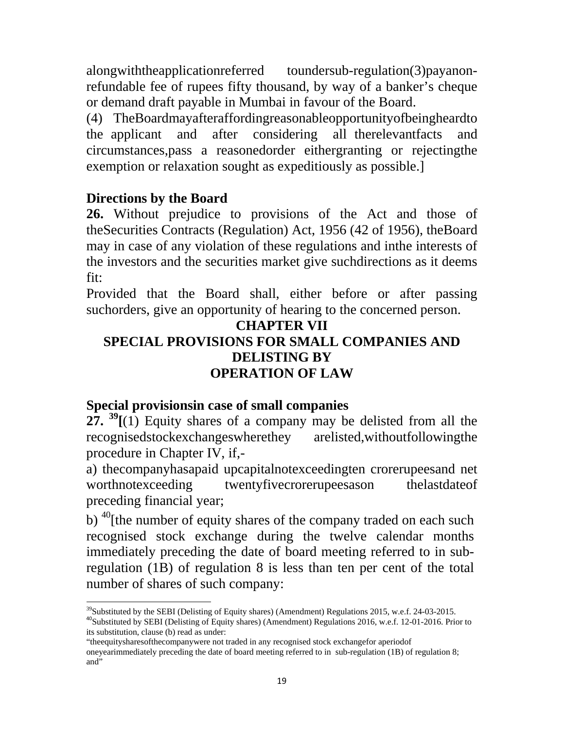alongwiththeapplicationreferred toundersub-regulation(3)payanonrefundable fee of rupees fifty thousand, by way of a banker's cheque or demand draft payable in Mumbai in favour of the Board.

(4) TheBoardmayafteraffordingreasonableopportunityofbeingheardto the applicant and after considering all therelevantfacts and circumstances,pass a reasonedorder eithergranting or rejectingthe exemption or relaxation sought as expeditiously as possible.]

#### **Directions by the Board**

**26.** Without prejudice to provisions of the Act and those of theSecurities Contracts (Regulation) Act, 1956 (42 of 1956), theBoard may in case of any violation of these regulations and inthe interests of the investors and the securities market give suchdirections as it deems fit:

Provided that the Board shall, either before or after passing suchorders, give an opportunity of hearing to the concerned person.

#### **CHAPTER VII SPECIAL PROVISIONS FOR SMALL COMPANIES AND DELISTING BY OPERATION OF LAW**

#### **Special provisionsin case of small companies**

 $27.$  <sup>39</sup> $\left[$ (1) Equity shares of a company may be delisted from all the recognisedstockexchangeswherethey arelisted,withoutfollowingthe procedure in Chapter IV, if,-

a) thecompanyhasapaid upcapitalnotexceedingten crorerupeesand net worthnotexceeding twentyfivecrorerupeesason thelastdateof preceding financial year;

b)  $^{40}$ [the number of equity shares of the company traded on each such recognised stock exchange during the twelve calendar months immediately preceding the date of board meeting referred to in subregulation (1B) of regulation 8 is less than ten per cent of the total number of shares of such company:

 <sup>39</sup>Substituted by the SEBI (Delisting of Equity shares) (Amendment) Regulations 2015, w.e.f. 24-03-2015.

<sup>40</sup>Substituted by SEBI (Delisting of Equity shares) (Amendment) Regulations 2016, w.e.f. 12-01-2016. Prior to its substitution, clause (b) read as under:

<sup>&</sup>quot;theequitysharesofthecompanywere not traded in any recognised stock exchangefor aperiodof

oneyearimmediately preceding the date of board meeting referred to in sub-regulation (1B) of regulation 8; and"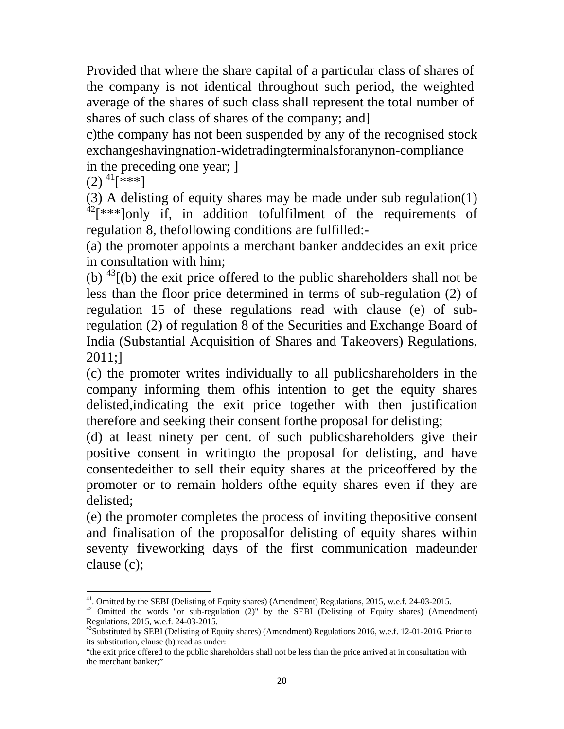Provided that where the share capital of a particular class of shares of the company is not identical throughout such period, the weighted average of the shares of such class shall represent the total number of shares of such class of shares of the company; and]

c)the company has not been suspended by any of the recognised stock exchangeshavingnation-widetradingterminalsforanynon-compliance in the preceding one year; ]

 $(2)$ <sup>41</sup>[\*\*\*]

(3) A delisting of equity shares may be made under sub regulation(1)  $42$ [\*\*\*]only if, in addition tofulfilment of the requirements of regulation 8, thefollowing conditions are fulfilled:-

(a) the promoter appoints a merchant banker anddecides an exit price in consultation with him;

(b)  $^{43}$ [(b) the exit price offered to the public shareholders shall not be less than the floor price determined in terms of sub-regulation (2) of regulation 15 of these regulations read with clause (e) of subregulation (2) of regulation 8 of the Securities and Exchange Board of India (Substantial Acquisition of Shares and Takeovers) Regulations, 2011;]

(c) the promoter writes individually to all publicshareholders in the company informing them ofhis intention to get the equity shares delisted,indicating the exit price together with then justification therefore and seeking their consent forthe proposal for delisting;

(d) at least ninety per cent. of such publicshareholders give their positive consent in writingto the proposal for delisting, and have consentedeither to sell their equity shares at the priceoffered by the promoter or to remain holders ofthe equity shares even if they are delisted;

(e) the promoter completes the process of inviting thepositive consent and finalisation of the proposalfor delisting of equity shares within seventy fiveworking days of the first communication madeunder clause (c);

<sup>&</sup>lt;sup>41</sup>. Omitted by the SEBI (Delisting of Equity shares) (Amendment) Regulations, 2015, w.e.f. 24-03-2015.

<sup>&</sup>lt;sup>42</sup> Omitted the words "or sub-regulation (2)" by the SEBI (Delisting of Equity shares) (Amendment) Regulations, 2015, w.e.f. 24-03-2015*.*

<sup>&</sup>lt;sup>43</sup>Substituted by SEBI (Delisting of Equity shares) (Amendment) Regulations 2016, w.e.f. 12-01-2016. Prior to its substitution, clause (b) read as under:

<sup>&</sup>quot;the exit price offered to the public shareholders shall not be less than the price arrived at in consultation with the merchant banker;"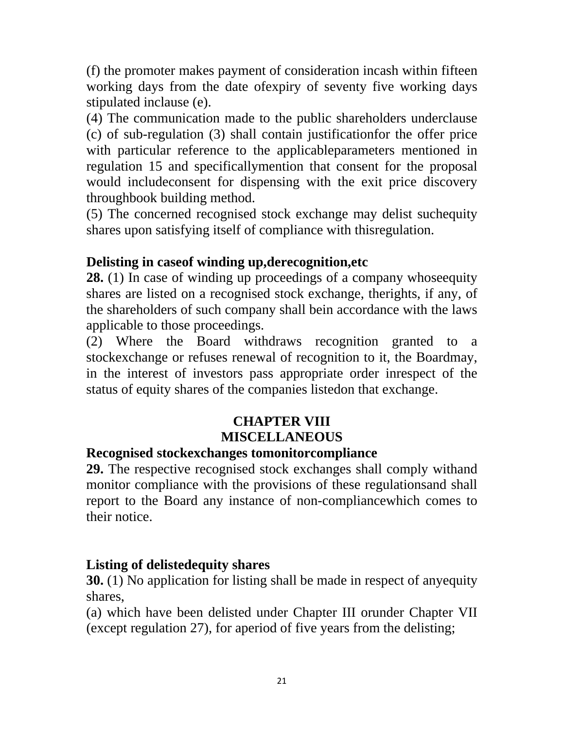(f) the promoter makes payment of consideration incash within fifteen working days from the date ofexpiry of seventy five working days stipulated inclause (e).

(4) The communication made to the public shareholders underclause (c) of sub-regulation (3) shall contain justificationfor the offer price with particular reference to the applicableparameters mentioned in regulation 15 and specificallymention that consent for the proposal would includeconsent for dispensing with the exit price discovery throughbook building method.

(5) The concerned recognised stock exchange may delist suchequity shares upon satisfying itself of compliance with thisregulation.

#### **Delisting in caseof winding up,derecognition,etc**

**28.** (1) In case of winding up proceedings of a company whoseequity shares are listed on a recognised stock exchange, therights, if any, of the shareholders of such company shall bein accordance with the laws applicable to those proceedings.

(2) Where the Board withdraws recognition granted to a stockexchange or refuses renewal of recognition to it, the Boardmay, in the interest of investors pass appropriate order inrespect of the status of equity shares of the companies listedon that exchange.

## **CHAPTER VIII MISCELLANEOUS**

#### **Recognised stockexchanges tomonitorcompliance**

**29.** The respective recognised stock exchanges shall comply withand monitor compliance with the provisions of these regulationsand shall report to the Board any instance of non-compliancewhich comes to their notice.

#### **Listing of delistedequity shares**

**30.** (1) No application for listing shall be made in respect of anyequity shares,

(a) which have been delisted under Chapter III orunder Chapter VII (except regulation 27), for aperiod of five years from the delisting;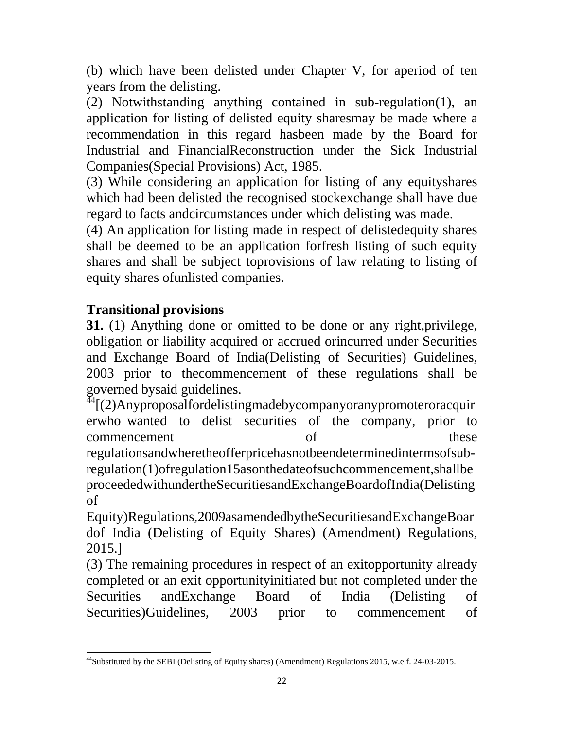(b) which have been delisted under Chapter V, for aperiod of ten years from the delisting.

(2) Notwithstanding anything contained in sub-regulation(1), an application for listing of delisted equity sharesmay be made where a recommendation in this regard hasbeen made by the Board for Industrial and FinancialReconstruction under the Sick Industrial Companies(Special Provisions) Act, 1985.

(3) While considering an application for listing of any equityshares which had been delisted the recognised stockexchange shall have due regard to facts andcircumstances under which delisting was made.

(4) An application for listing made in respect of delistedequity shares shall be deemed to be an application forfresh listing of such equity shares and shall be subject toprovisions of law relating to listing of equity shares ofunlisted companies.

## **Transitional provisions**

**31.** (1) Anything done or omitted to be done or any right,privilege, obligation or liability acquired or accrued orincurred under Securities and Exchange Board of India(Delisting of Securities) Guidelines, 2003 prior to thecommencement of these regulations shall be governed bysaid guidelines.

 $\frac{44}{1}$ [(2)Anyproposalfordelistingmadebycompanyoranypromoteroracquir erwho wanted to delist securities of the company, prior to commencement of these regulationsandwheretheofferpricehasnotbeendeterminedintermsofsubregulation(1)ofregulation15asonthedateofsuchcommencement,shallbe proceededwithundertheSecuritiesandExchangeBoardofIndia(Delisting of

Equity)Regulations,2009asamendedbytheSecuritiesandExchangeBoar dof India (Delisting of Equity Shares) (Amendment) Regulations, 2015.]

(3) The remaining procedures in respect of an exitopportunity already completed or an exit opportunityinitiated but not completed under the Securities andExchange Board of India (Delisting of Securities)Guidelines, 2003 prior to commencement of

<sup>44</sup>Substituted by the SEBI (Delisting of Equity shares) (Amendment) Regulations 2015, w.e.f. 24-03-2015.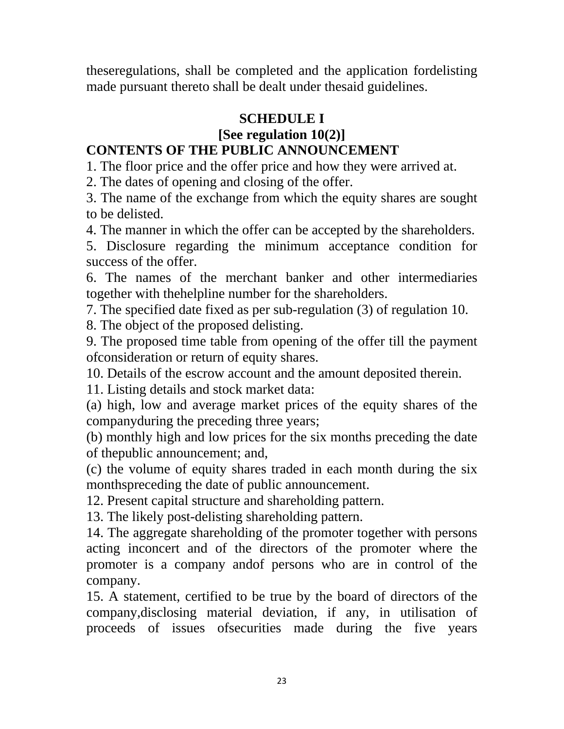theseregulations, shall be completed and the application fordelisting made pursuant thereto shall be dealt under thesaid guidelines.

#### **SCHEDULE I**

# **[See regulation 10(2)]**

#### **CONTENTS OF THE PUBLIC ANNOUNCEMENT**

1. The floor price and the offer price and how they were arrived at.

2. The dates of opening and closing of the offer.

3. The name of the exchange from which the equity shares are sought to be delisted.

4. The manner in which the offer can be accepted by the shareholders.

5. Disclosure regarding the minimum acceptance condition for success of the offer.

6. The names of the merchant banker and other intermediaries together with thehelpline number for the shareholders.

7. The specified date fixed as per sub-regulation (3) of regulation 10.

8. The object of the proposed delisting.

9. The proposed time table from opening of the offer till the payment ofconsideration or return of equity shares.

10. Details of the escrow account and the amount deposited therein.

11. Listing details and stock market data:

(a) high, low and average market prices of the equity shares of the companyduring the preceding three years;

(b) monthly high and low prices for the six months preceding the date of thepublic announcement; and,

(c) the volume of equity shares traded in each month during the six monthspreceding the date of public announcement.

12. Present capital structure and shareholding pattern.

13. The likely post-delisting shareholding pattern.

14. The aggregate shareholding of the promoter together with persons acting inconcert and of the directors of the promoter where the promoter is a company andof persons who are in control of the company.

15. A statement, certified to be true by the board of directors of the company,disclosing material deviation, if any, in utilisation of proceeds of issues ofsecurities made during the five years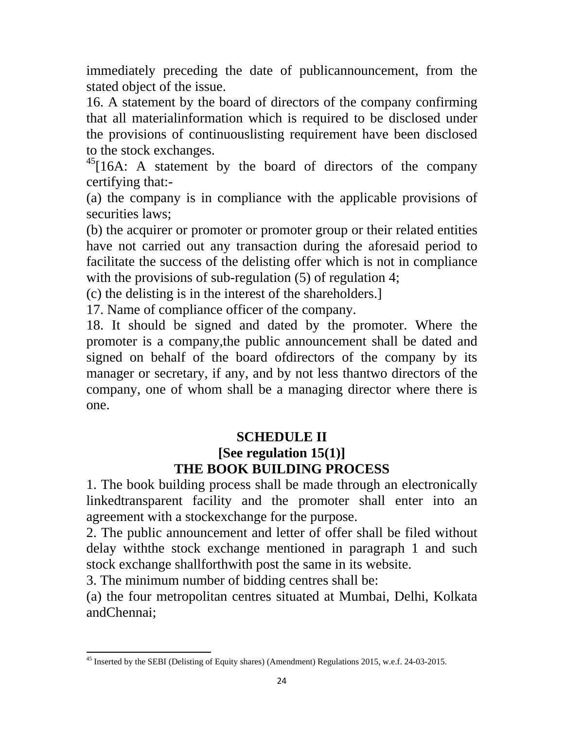immediately preceding the date of publicannouncement, from the stated object of the issue.

16. A statement by the board of directors of the company confirming that all materialinformation which is required to be disclosed under the provisions of continuouslisting requirement have been disclosed to the stock exchanges.

 $^{45}$ [16A: A statement by the board of directors of the company certifying that:-

(a) the company is in compliance with the applicable provisions of securities laws;

(b) the acquirer or promoter or promoter group or their related entities have not carried out any transaction during the aforesaid period to facilitate the success of the delisting offer which is not in compliance with the provisions of sub-regulation  $(5)$  of regulation 4;

(c) the delisting is in the interest of the shareholders.]

17. Name of compliance officer of the company.

18. It should be signed and dated by the promoter. Where the promoter is a company,the public announcement shall be dated and signed on behalf of the board ofdirectors of the company by its manager or secretary, if any, and by not less thantwo directors of the company, one of whom shall be a managing director where there is one.

# **SCHEDULE II**

## **[See regulation 15(1)] THE BOOK BUILDING PROCESS**

1. The book building process shall be made through an electronically linkedtransparent facility and the promoter shall enter into an agreement with a stockexchange for the purpose.

2. The public announcement and letter of offer shall be filed without delay withthe stock exchange mentioned in paragraph 1 and such stock exchange shallforthwith post the same in its website.

3. The minimum number of bidding centres shall be:

(a) the four metropolitan centres situated at Mumbai, Delhi, Kolkata andChennai;

 <sup>45</sup> Inserted by the SEBI (Delisting of Equity shares) (Amendment) Regulations 2015, w.e.f. 24-03-2015.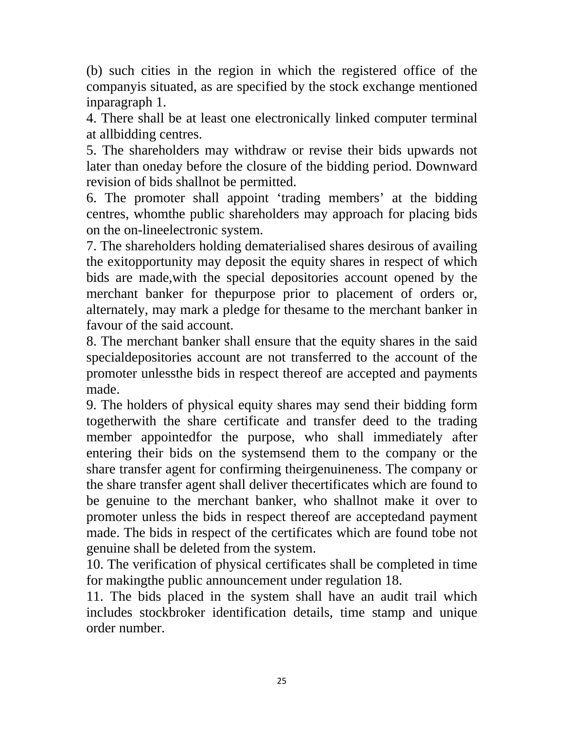(b) such cities in the region in which the registered office of the companyis situated, as are specified by the stock exchange mentioned inparagraph 1.

4. There shall be at least one electronically linked computer terminal at allbidding centres.

5. The shareholders may withdraw or revise their bids upwards not later than oneday before the closure of the bidding period. Downward revision of bids shallnot be permitted.

6. The promoter shall appoint 'trading members' at the bidding centres, whomthe public shareholders may approach for placing bids on the on-lineelectronic system.

7. The shareholders holding dematerialised shares desirous of availing the exitopportunity may deposit the equity shares in respect of which bids are made,with the special depositories account opened by the merchant banker for thepurpose prior to placement of orders or, alternately, may mark a pledge for thesame to the merchant banker in favour of the said account.

8. The merchant banker shall ensure that the equity shares in the said specialdepositories account are not transferred to the account of the promoter unlessthe bids in respect thereof are accepted and payments made.

9. The holders of physical equity shares may send their bidding form togetherwith the share certificate and transfer deed to the trading member appointedfor the purpose, who shall immediately after entering their bids on the systemsend them to the company or the share transfer agent for confirming theirgenuineness. The company or the share transfer agent shall deliver thecertificates which are found to be genuine to the merchant banker, who shallnot make it over to promoter unless the bids in respect thereof are acceptedand payment made. The bids in respect of the certificates which are found tobe not genuine shall be deleted from the system.

10. The verification of physical certificates shall be completed in time for makingthe public announcement under regulation 18.

11. The bids placed in the system shall have an audit trail which includes stockbroker identification details, time stamp and unique order number.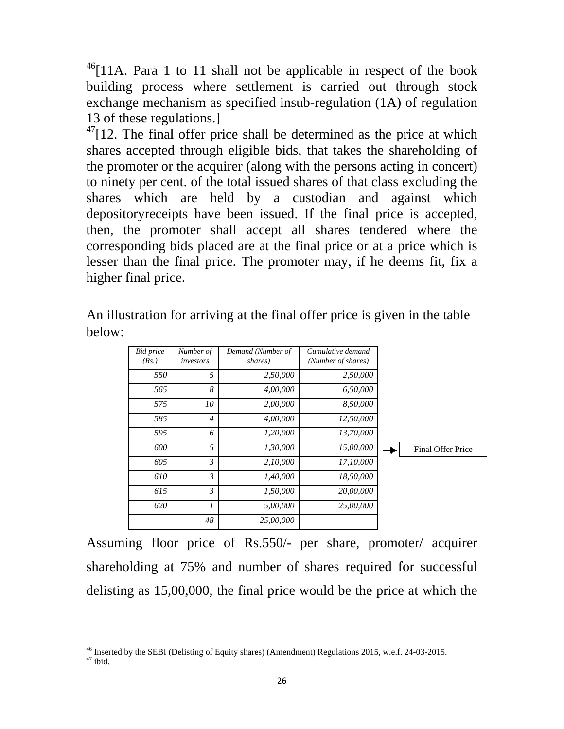$^{46}$ [11A. Para 1 to 11 shall not be applicable in respect of the book building process where settlement is carried out through stock exchange mechanism as specified insub-regulation (1A) of regulation 13 of these regulations.]

 $47$ [12. The final offer price shall be determined as the price at which shares accepted through eligible bids, that takes the shareholding of the promoter or the acquirer (along with the persons acting in concert) to ninety per cent. of the total issued shares of that class excluding the shares which are held by a custodian and against which depositoryreceipts have been issued. If the final price is accepted, then, the promoter shall accept all shares tendered where the corresponding bids placed are at the final price or at a price which is lesser than the final price. The promoter may, if he deems fit, fix a higher final price.

| <b>Bid</b> price<br>(Rs.)                                       | Number of<br>investors | Demand (Number of<br>shares) | Cumulative demand<br>(Number of shares) |  |                          |
|-----------------------------------------------------------------|------------------------|------------------------------|-----------------------------------------|--|--------------------------|
| 550                                                             | 5                      | 2,50,000                     | 2,50,000                                |  |                          |
| 565                                                             | 8                      | 4,00,000                     | 6,50,000                                |  |                          |
| 575                                                             | 10                     | 2,00,000                     | 8,50,000                                |  |                          |
| 585                                                             | $\overline{4}$         | 4,00,000                     | 12,50,000                               |  |                          |
| 595                                                             | 6                      | 1,20,000                     | 13,70,000                               |  |                          |
| 600                                                             | 5                      | 1,30,000                     | 15,00,000                               |  | <b>Final Offer Price</b> |
| 605                                                             | $\mathfrak{Z}$         | 2,10,000                     | 17,10,000                               |  |                          |
| 610                                                             | 3                      | 1,40,000                     | 18,50,000                               |  |                          |
| 615                                                             | 3                      | 1,50,000                     | 20,00,000                               |  |                          |
| 620                                                             | $\mathcal{I}$          | 5,00,000                     | 25,00,000                               |  |                          |
|                                                                 | 48                     | 25,00,000                    |                                         |  |                          |
| floor price of Rs.550/- per share, promoter/<br>ing<br>acquirer |                        |                              |                                         |  |                          |

An illustration for arriving at the final offer price is given in the table below:

Assuming floor price of Rs.550/- per share, promoter/ acquire shareholding at 75% and number of shares required for successful delisting as  $15,00,000$ , the final price would be the price at which the

 $\overline{\phantom{a}}$ 

<sup>46</sup> Inserted by the SEBI (D Delisting of Equity shares) (Amendment) Regulations 2015, w.e.f. 24-03-2015.

 $47$  ibid.